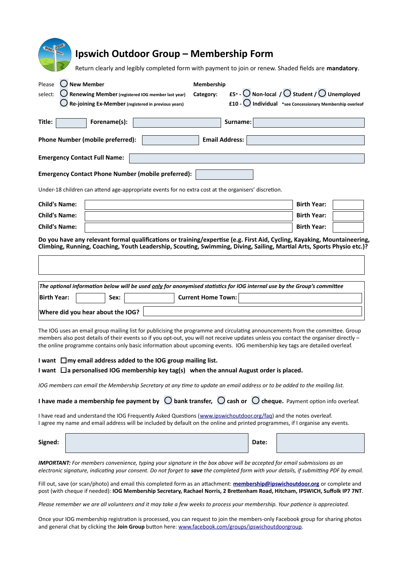| <b>QUIDOON</b><br><b>IPSWICH</b><br>Ipswich Outdoor Group – Membership Form<br>GROUP<br>Return clearly and legibly completed form with payment to join or renew. Shaded fields are mandatory.                                                                                                                                                                                                         |                                             |
|-------------------------------------------------------------------------------------------------------------------------------------------------------------------------------------------------------------------------------------------------------------------------------------------------------------------------------------------------------------------------------------------------------|---------------------------------------------|
| $\bigcup$ New Member<br>Please<br>Membership<br>£5* - $\bigcirc$ Non-local / $\bigcirc$ Student / $\bigcirc$ Unemployed<br>select:<br>Renewing Member (registered IOG member last year)<br>Category:<br>$f10 -$ Individual *see Concessionary Membership overleaf<br>Re-joining Ex-Member (registered in previous years)                                                                              |                                             |
| Surname:<br>Title:<br>Forename(s):<br>$\blacktriangleright$                                                                                                                                                                                                                                                                                                                                           |                                             |
| <b>Email Address:</b><br><b>Phone Number (mobile preferred):</b>                                                                                                                                                                                                                                                                                                                                      |                                             |
| <b>Emergency Contact Full Name:</b>                                                                                                                                                                                                                                                                                                                                                                   |                                             |
| <b>Emergency Contact Phone Number (mobile preferred):</b>                                                                                                                                                                                                                                                                                                                                             |                                             |
| Under-18 children can attend age-appropriate events for no extra cost at the organisers' discretion.                                                                                                                                                                                                                                                                                                  |                                             |
| <b>Child's Name:</b>                                                                                                                                                                                                                                                                                                                                                                                  | <b>Birth Year:</b><br>$\blacktriangleright$ |
| <b>Child's Name:</b>                                                                                                                                                                                                                                                                                                                                                                                  | <b>Birth Year:</b><br>$\blacktriangleright$ |
| <b>Child's Name:</b>                                                                                                                                                                                                                                                                                                                                                                                  | <b>Birth Year:</b><br>$\blacksquare$        |
| Do you have any relevant formal qualifications or training/expertise (e.g. First Aid, Cycling, Kayaking, Mountaineering,<br>Climbing, Running, Coaching, Youth Leadership, Scouting, Swimming, Diving, Sailing, Martial Arts, Sports Physio etc.)?                                                                                                                                                    |                                             |
|                                                                                                                                                                                                                                                                                                                                                                                                       |                                             |
|                                                                                                                                                                                                                                                                                                                                                                                                       |                                             |
| The optional information below will be used <b>only for anonymised statistics for IOG</b> internal use by the Group's committee                                                                                                                                                                                                                                                                       |                                             |
| <b>Birth Year:</b><br>Sex:<br><b>Current Home Town:</b><br>$\blacktriangledown$<br>$\blacktriangleright$                                                                                                                                                                                                                                                                                              |                                             |
| Where did you hear about the IOG?                                                                                                                                                                                                                                                                                                                                                                     | $\blacktriangleright$                       |
| The IOG uses an email group mailing list for publicising the programme and circulating announcements from the committee. Group<br>members also post details of their events so if you opt-out, you will not receive updates unless you contact the organiser directly -<br>the online programme contains only basic information about upcoming events. IOG membership key tags are detailed overleaf. |                                             |
| I want $\Box$ my email address added to the IOG group mailing list.<br>I want $\Box$ a personalised IOG membership key tag(s) when the annual August order is placed.                                                                                                                                                                                                                                 |                                             |
| IOG members can email the Membership Secretary at any time to update an email address or to be added to the mailing list.                                                                                                                                                                                                                                                                             |                                             |
| I have made a membership fee payment by $\bigcirc$ bank transfer, $\bigcirc$ cash or $\bigcirc$ cheque. Payment option info overleaf.                                                                                                                                                                                                                                                                 |                                             |
| I have read and understand the IOG Frequently Asked Questions (www.ipswichoutdoor.org/fag) and the notes overleaf.<br>I agree my name and email address will be included by default on the online and printed programmes, if I organise any events.                                                                                                                                                   |                                             |
| Signed:<br>Date:                                                                                                                                                                                                                                                                                                                                                                                      |                                             |
| <b>IMPORTANT:</b> For members convenience, typing your signature in the box above will be accepted for email submissions as an<br>electronic signature, indicating your consent. Do not forget to save the completed form with your details, if submitting PDF by email.                                                                                                                              |                                             |
| Fill out, save (or scan/photo) and email this completed form as an attachment: membership@ipswichoutdoor.org or complete and<br>post (with cheque if needed): IOG Membership Secretary, Rachael Norris, 2 Brettenham Road, Hitcham, IPSWICH, Suffolk IP7 7NT.                                                                                                                                         |                                             |
| Please remember we are all volunteers and it may take a few weeks to process your membership. Your patience is appreciated.                                                                                                                                                                                                                                                                           |                                             |
| Once your IOG membership registration is processed, you can request to join the members-only Facebook group for sharing photos<br>and general chat by clicking the Join Group button here: www.facebook.com/groups/ipswichoutdoorgroup.                                                                                                                                                               |                                             |